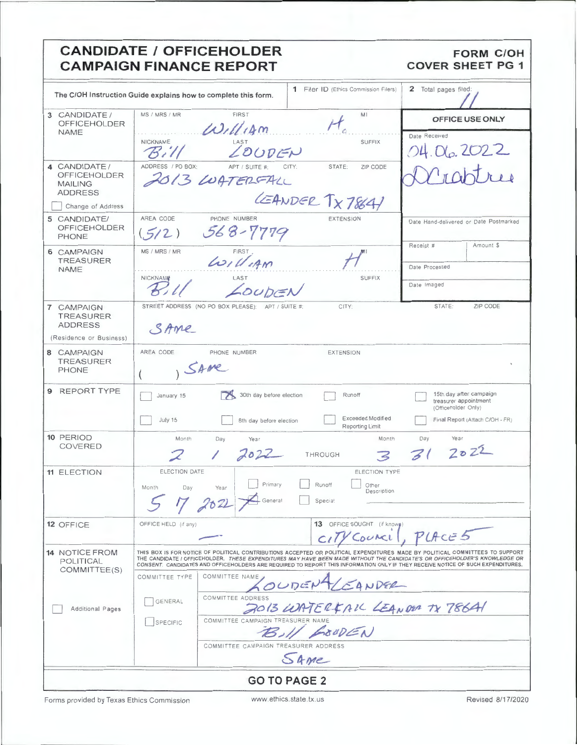### **CANDIDATE / OFFICEHOLDER FORM C/OH CAMPAIGN FINANCE REPORT COVER SHEET PG 1** 1 Filer ID (Ethics Commission Filers) 2 Total pages filed: The C/OH Instruction Guide explains how to complete this form. MS / MPS / MP EIDST 3 CANDIDATE / MI OFFICE USE ONLY **OFFICEHOLDER**  $10111$ **NAME** Date Received NICKNAME LOUDER **SUFFIX**  $\mathcal{B}$ i $\mathcal{U}$  $OH$   $Na$   $2C$ 4 CANDIDATE/ ADDRESS / PO BOX ZIP CODE **STATE** OFFICEHOLDER 2013 LUATERFALL **MAILING ADDRESS** LEANDER TX7864 Change of Address 5 CANDIDATE/ AREA CODE PHONE NUMBER EXTENSION Date Hand-delivered or Date Postmarked **OFFICEHOLDER**  $568 - 7779$  $(5/2)$ PHONE Receipt # Amount \$  $L$ MS / MRS / MR 6 CAMPAIGN **TREASURER** Date Processed **NAMF** NICKNAME SUFFIX LOUDEN Date Imaged  $\overline{\phantom{a}}$ CAMPAIGN STREET ADDRESS (NO PO BOX PLEASE) CITY STATE: **ZIP CODE**  $\overline{7}$ **TREASURER ADDRESS** SAME (Residence or Business) AREA CODE PHONE NUMBER EXTENSION 8 CAMPAIGN **TREASURER** SAME PHONE 9 REPORT TYPE January 15 30th day before election Runoff 15th day after campaign  $\mathbb{R}$ treasurer appointment (Officeholder Only) Exceeded Modified July 15 Final Report (Attach C/OH - FR) 8th day before election Reporting Limit 10 PERIOD Month Month Day Day Year Year **COVERED**  $2022$  $31$ 2022 THROUGH マ 11 ELECTION ELECTION DATE ELECTION TYPE Primary Other<br>Description Runoff Month Day Year  $\triangle$  General Special 12 OFFICE OFFICE HELD (if any 13 OFFICE SOUGHT (if know  $P$ *LA* $c$  $\in$ 5 COUACL 14 NOTICE FROM THIS BOX IS FOR NOTICE OF POLITICAL CONTRIBUTIONS ACCEPTED OR POLITICAL EXPENDITURES MADE BY POLITICAL COMMITTEES TO SUPPORT THE CANDIDATE / OFFICEHOLDER. THESE EXPENDITURES MAY HAVE BEEN MADE WITHOUT THE CANDIDATE'S OR OFFICEHOLDER'S KNOWLEDGE OR<br>CONSENT. CANDIDATES AND OFFICEHOLDERS ARE REQUIRED TO REPORT THIS INFORMATION ONLY IF THEY RECEIVE **POLITICAL** COMMITTEE(S) COMMITTEE TYPE COMMITTEE NAME LOUDEN SANDER COMMITTEE ADDRESS GENERAL 2013 WATERFALL LEANDER TX 786A1 Additional Pages COMMITTEE CAMPAIGN TREASURER NAME SPECIFIC COMMITTEE CAMPAIGN TREASURER ADDRESS SAME

**GO TO PAGE 2** 

Forms provided by Texas Ethics Commission

Revised 8/17/2020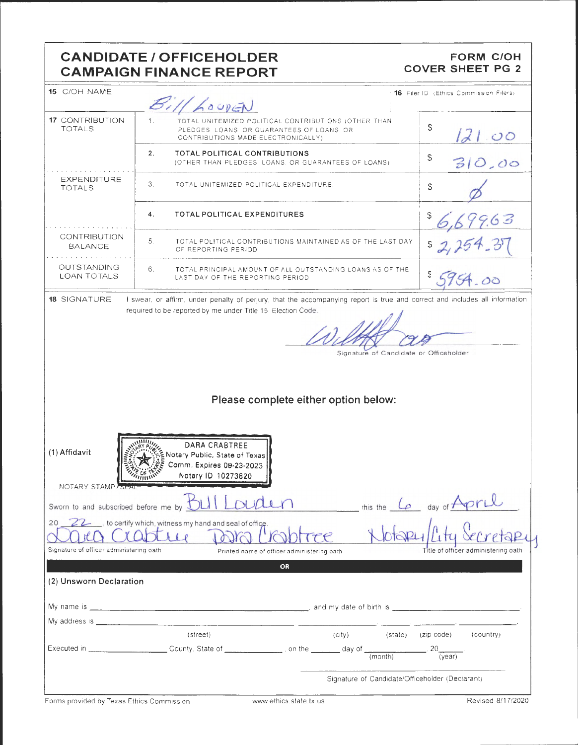## **CANDIDATE/ OFFICEHOLDER CAMPAIGN FINANCE REPORT**

### **FORM C/OH COVER SHEET PG 2**

| 15 C/OH NAME                            | Bill LOUDEN                                                                                                                                              | 16 Filer ID (Ethics Commission Filers)                        |
|-----------------------------------------|----------------------------------------------------------------------------------------------------------------------------------------------------------|---------------------------------------------------------------|
| <b>17 CONTRIBUTION</b><br><b>TOTALS</b> | 1 <sub>1</sub><br>TOTAL UNITEMIZED POLITICAL CONTRIBUTIONS (OTHER THAN<br>PLEDGES LOANS OR GUARANTEES OF LOANS, OR<br>CONTRIBUTIONS MADE ELECTRONICALLY) | \$<br>d1.00                                                   |
|                                         | 2.<br>TOTAL POLITICAL CONTRIBUTIONS<br>(OTHER THAN PLEDGES LOANS, OR GUARANTEES OF LOANS)                                                                | S<br>310,00                                                   |
| EXPENDITURE<br><b>TOTALS</b>            | $3_{-}$<br>TOTAL UNITEMIZED POLITICAL EXPENDITURE.                                                                                                       | $\mathbb{S}$                                                  |
|                                         | <b>TOTAL POLITICAL EXPENDITURES</b><br>4.                                                                                                                | 79.63                                                         |
| <b>CONTRIBUTION</b><br><b>BALANCE</b>   | 5 <sub>1</sub><br>TOTAL POLITICAL CONTRIBUTIONS MAINTAINED AS OF THE LAST DAY<br>OF REPORTING PERIOD                                                     |                                                               |
| OUTSTANDING<br><b>LOAN TOTALS</b>       | 6.<br>TOTAL PRINCIPAL AMOUNT OF ALL OUTSTANDING LOANS AS OF THE<br>LAST DAY OF THE REPORTING PERIOD                                                      |                                                               |
|                                         | Signature of Candidate or Officeholder<br>Please complete either option below:                                                                           |                                                               |
| (1) Affidavit<br>NOTARY STAMP SEA       | DARA CRABTREE<br>Notary Public, State of Texas<br>Comm. Expires 09-23-2023<br>Notary ID 10273820                                                         |                                                               |
|                                         | Sworn to and subscribed before me by <b>BLII LOUDLE</b>                                                                                                  | this the Lo day of April                                      |
| 20                                      | 22_, to certify which, witness my hand and seal of office.<br>$\iota$                                                                                    |                                                               |
| Signature of officer administering oath | Printed name of officer administering oath<br>OR                                                                                                         | Title of officer administering oath                           |
| (2) Unsworn Declaration                 |                                                                                                                                                          |                                                               |
|                                         | My name is <u>experimental control and my date of birth is experimental control and my date of birth is experimental control and my date of birth is</u> |                                                               |
|                                         |                                                                                                                                                          |                                                               |
|                                         | (street)<br>(city)<br>(state) (zip code)                                                                                                                 | (country)<br>$20$ <sub>___</sub><br>$\frac{1}{\sqrt{(year)}}$ |
|                                         | Signature of Candidate/Officeholder (Declarant)                                                                                                          |                                                               |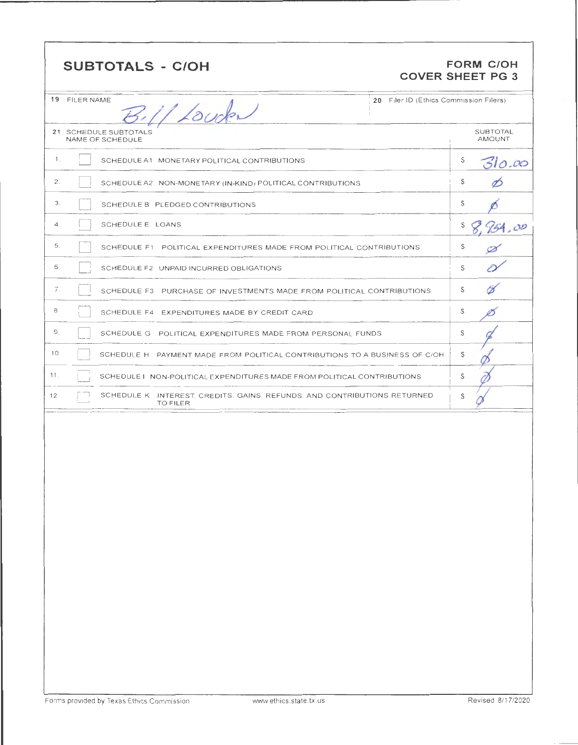| <b>SUBTOTALS - C/OH</b> | <b>FORM C/OH</b>        |
|-------------------------|-------------------------|
|                         | <b>COVER SHEET PG 3</b> |

|                     | 19 FILER NAME<br>20 Filer ID (Ethics Commission Filers)<br>B.11 Louden                      |                                  |
|---------------------|---------------------------------------------------------------------------------------------|----------------------------------|
|                     | 21 SCHEDULE SUBTOTALS<br>NAME OF SCHEDULE                                                   | <b>SUBTOTAL</b><br><b>AMOUNT</b> |
| $\mathbf{1}$ .      | SCHEDULE A1 MONETARY POLITICAL CONTRIBUTIONS                                                | S<br>310.00                      |
| 2.                  | SCHEDULE A2: NON-MONETARY (IN-KIND) POLITICAL CONTRIBUTIONS                                 | S                                |
| 3.                  | SCHEDULE B PLEDGED CONTRIBUTIONS                                                            | S                                |
| $\overline{4}$ .    | <b>SCHEDULE E: LOANS</b>                                                                    | S<br>154,00                      |
| 5.                  | SCHEDULE F1. POLITICAL EXPENDITURES MADE FROM POLITICAL CONTRIBUTIONS                       | S                                |
| 6.                  | SCHEDULE F2: UNPAID INCURRED OBLIGATIONS                                                    | S                                |
| $\overline{\ell}$ . | SCHEDULE F3. PURCHASE OF INVESTMENTS MADE FROM POLITICAL CONTRIBUTIONS                      | S<br>6                           |
| 8                   | SCHEDULE F4 EXPENDITURES MADE BY CREDIT CARD                                                | S                                |
| $\Omega$            | SCHEDULE G POLITICAL EXPENDITURES MADE FROM PERSONAL FUNDS                                  | S                                |
| 10.                 | SCHEDULE H: PAYMENT MADE FROM POLITICAL CONTRIBUTIONS TO A BUSINESS OF C/OH                 | S                                |
| 11.                 | SCHEDULET: NON-POLITICAL EXPENDITURES MADE FROM POLITICAL CONTRIBUTIONS                     | S                                |
| 12                  | SCHEDULE K INTEREST, CREDITS, GAINS, REFUNDS, AND CONTRIBUTIONS RETURNED<br><b>TO FILER</b> | S                                |
|                     |                                                                                             |                                  |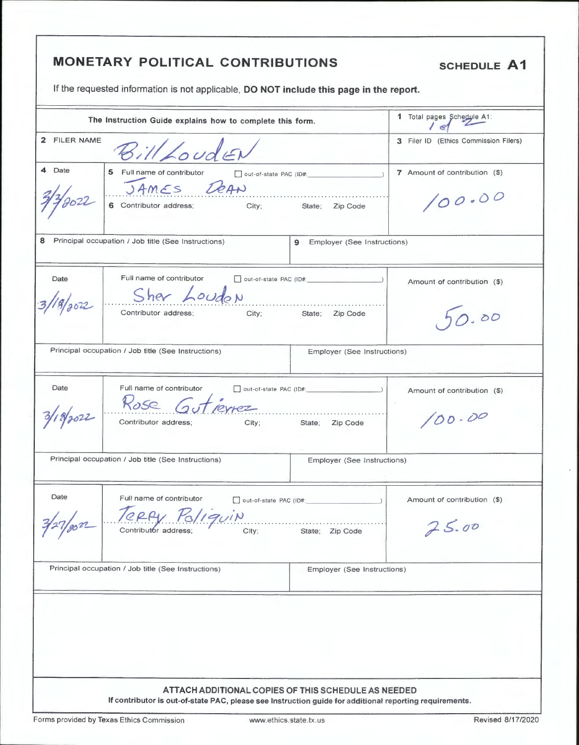| 2 FILER NAME<br>illLoudEN<br>5 Full name of contributor<br>7 Amount of contribution (\$)<br>out-of-state PAC (ID#:<br>JAMES DEAN<br>6 Contributor address; City; State; Zip Code<br>100.00<br>$\mathbf{9}$<br>Employer (See Instructions)<br>Full name of contributor<br>Date<br>Amount of contribution (\$)<br>Sher Loudon<br>8/302<br>Contributor address;<br>City; State; Zip Code<br>0.00<br>Employer (See Instructions)<br>Full name of contributor<br>Date<br>Amount of contribution (\$)<br>Rose Gutierrez<br>18/2022<br>100.00<br>Contributor address; City;<br>State; Zip Code<br>Principal occupation / Job title (See Instructions)<br>Employer (See Instructions)<br>Date<br>Full name of contributor<br>Amount of contribution (\$)<br>out-of-state PAC (ID#:<br>Teppy Poliquin<br>25.00<br>City;<br>State; Zip Code<br>Employer (See Instructions) | 3 Filer ID (Ethics Commission Filers) |        | The Instruction Guide explains how to complete this form. | 1 Total pages Schedule A1: |
|------------------------------------------------------------------------------------------------------------------------------------------------------------------------------------------------------------------------------------------------------------------------------------------------------------------------------------------------------------------------------------------------------------------------------------------------------------------------------------------------------------------------------------------------------------------------------------------------------------------------------------------------------------------------------------------------------------------------------------------------------------------------------------------------------------------------------------------------------------------|---------------------------------------|--------|-----------------------------------------------------------|----------------------------|
| Principal occupation / Job title (See Instructions)<br>Principal occupation / Job title (See Instructions)                                                                                                                                                                                                                                                                                                                                                                                                                                                                                                                                                                                                                                                                                                                                                       |                                       |        |                                                           |                            |
| 8 Principal occupation / Job title (See Instructions)                                                                                                                                                                                                                                                                                                                                                                                                                                                                                                                                                                                                                                                                                                                                                                                                            |                                       | 4 Date |                                                           |                            |
|                                                                                                                                                                                                                                                                                                                                                                                                                                                                                                                                                                                                                                                                                                                                                                                                                                                                  |                                       |        |                                                           |                            |
|                                                                                                                                                                                                                                                                                                                                                                                                                                                                                                                                                                                                                                                                                                                                                                                                                                                                  |                                       |        |                                                           |                            |
| 3/27/802                                                                                                                                                                                                                                                                                                                                                                                                                                                                                                                                                                                                                                                                                                                                                                                                                                                         |                                       |        |                                                           |                            |
|                                                                                                                                                                                                                                                                                                                                                                                                                                                                                                                                                                                                                                                                                                                                                                                                                                                                  |                                       |        |                                                           |                            |
|                                                                                                                                                                                                                                                                                                                                                                                                                                                                                                                                                                                                                                                                                                                                                                                                                                                                  |                                       |        |                                                           |                            |
|                                                                                                                                                                                                                                                                                                                                                                                                                                                                                                                                                                                                                                                                                                                                                                                                                                                                  |                                       |        |                                                           |                            |
|                                                                                                                                                                                                                                                                                                                                                                                                                                                                                                                                                                                                                                                                                                                                                                                                                                                                  |                                       |        |                                                           |                            |
|                                                                                                                                                                                                                                                                                                                                                                                                                                                                                                                                                                                                                                                                                                                                                                                                                                                                  |                                       |        |                                                           |                            |
|                                                                                                                                                                                                                                                                                                                                                                                                                                                                                                                                                                                                                                                                                                                                                                                                                                                                  |                                       |        |                                                           |                            |

Forms provided by Texas Ethics Commission

www.ethics.state.tx.us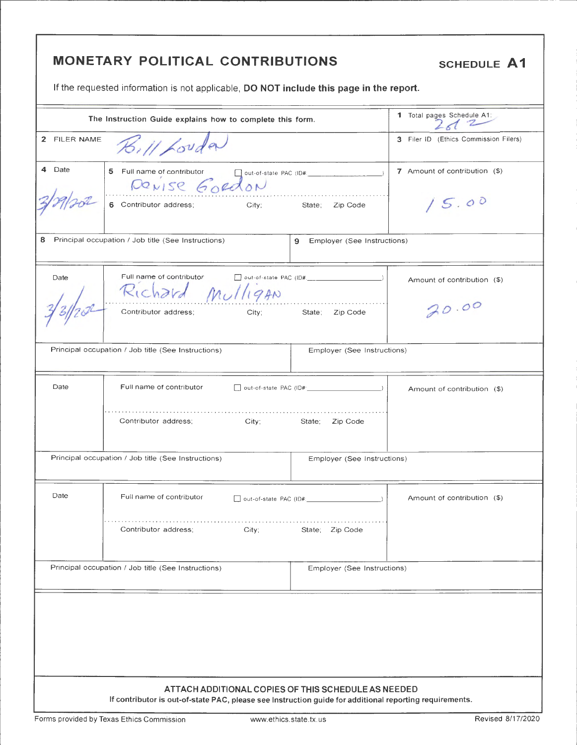# MONETARY POLITICAL CONTRIBUTIONS

**SCHEDULE A1** 

If the requested information is not applicable, DO NOT include this page in the report.

|              | The Instruction Guide explains how to complete this form.                                                                                                      |                                      | 1 Total pages Schedule A1:            |
|--------------|----------------------------------------------------------------------------------------------------------------------------------------------------------------|--------------------------------------|---------------------------------------|
| 2 FILER NAME | $\mathcal{H}$ , // Louder                                                                                                                                      |                                      | 3 Filer ID (Ethics Commission Filers) |
| 4 Date       | 5 Full name of contributor and post-of-state PAC (ID#: _________________________<br>DONISE GORdon                                                              |                                      | 7 Amount of contribution (\$)         |
|              | 6 Contributor address; City; State;                                                                                                                            | Zip Code                             | 15.00                                 |
| 8            | Principal occupation / Job title (See Instructions)                                                                                                            | <b>9</b> Employer (See Instructions) |                                       |
| Date         | Full name of contributor and put-of-state PAC (ID# 2001)<br>Richard Mulligan                                                                                   |                                      | Amount of contribution (\$)           |
|              | Contributor address;<br>City; State; Zip Code                                                                                                                  |                                      | 20 00                                 |
|              | Principal occupation / Job title (See Instructions)                                                                                                            | Employer (See Instructions)          |                                       |
| Date         | Full name of contributor                                                                                                                                       |                                      | Amount of contribution (\$)           |
|              | Contributor address;<br>City; the control of the control of the control of the control of the control of the control of the control of                         | State; Zip Code                      |                                       |
|              | Principal occupation / Job title (See Instructions)                                                                                                            | Employer (See Instructions)          |                                       |
| Date         | Full name of contributor                                                                                                                                       |                                      | Amount of contribution (\$)           |
|              | Contributor address;<br>City;                                                                                                                                  | State; Zip Code                      |                                       |
|              | Principal occupation / Job title (See Instructions)                                                                                                            | Employer (See Instructions)          |                                       |
|              |                                                                                                                                                                |                                      |                                       |
|              |                                                                                                                                                                |                                      |                                       |
|              |                                                                                                                                                                |                                      |                                       |
|              | ATTACH ADDITIONAL COPIES OF THIS SCHEDULE AS NEEDED<br>If contributor is out-of-state PAC, please see Instruction guide for additional reporting requirements. |                                      |                                       |

Forms provided by Texas Ethics Commission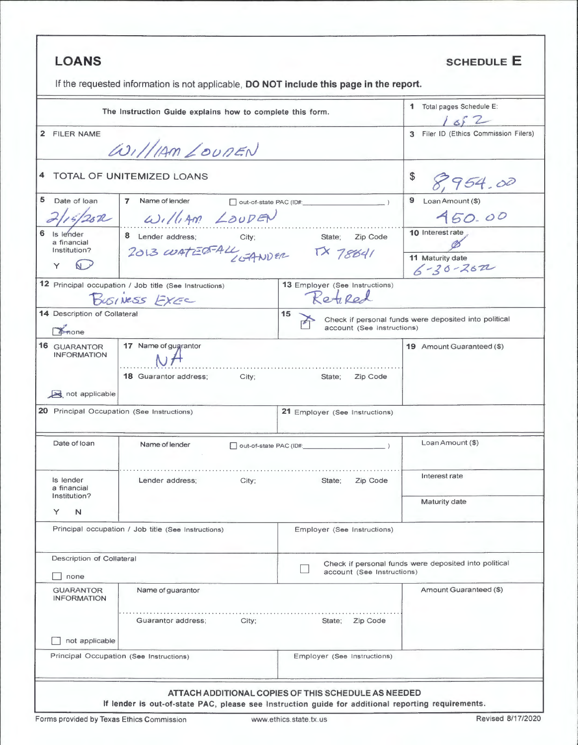| <b>LOANS</b>                                                 |                                                                                         |                                                      | <b>SCHEDULE E</b>                                     |
|--------------------------------------------------------------|-----------------------------------------------------------------------------------------|------------------------------------------------------|-------------------------------------------------------|
|                                                              | If the requested information is not applicable, DO NOT include this page in the report. |                                                      |                                                       |
|                                                              | The Instruction Guide explains how to complete this form.                               |                                                      | 1 Total pages Schedule E:<br>1652                     |
| 2 FILER NAME                                                 |                                                                                         |                                                      | 3 Filer ID (Ethics Commission Filers)                 |
|                                                              | $\omega_1$ //1AM LOUDEN                                                                 |                                                      |                                                       |
|                                                              | TOTAL OF UNITEMIZED LOANS                                                               |                                                      | 8,954.00                                              |
| Date of loan                                                 | 7 Name of lender                                                                        | out-of-state PAC (ID#:                               | 9<br>Loan Amount (\$)                                 |
| 2/15/25R                                                     | William LOUDEN                                                                          |                                                      | 450.00                                                |
| Is lender<br>a financial                                     | 8 Lender address;                                                                       | City; State; Zip Code                                | 10 Interest rate                                      |
| Institution?<br>Y                                            | $2013$ curtizer ALL, GANDER TX 78641                                                    |                                                      | 11 Maturity date<br>$6 - 30 - 262$                    |
|                                                              | 12 Principal occupation / Job title (See Instructions)                                  | 13 Employer (See Instructions)                       |                                                       |
|                                                              | BUSINESS EXEC                                                                           | Retired                                              |                                                       |
| 14 Description of Collateral<br>Anone                        |                                                                                         | 15<br>account (See Instructions)                     | Check if personal funds were deposited into political |
| <b>16 GUARANTOR</b><br><b>INFORMATION</b>                    | 17 Name of gugrantor                                                                    | .                                                    | 19 Amount Guaranteed (\$)                             |
| not applicable<br>20 Principal Occupation (See Instructions) | <b>18 Guarantor address;</b><br>City;                                                   | State;<br>Zip Code<br>21 Employer (See Instructions) |                                                       |
|                                                              |                                                                                         |                                                      |                                                       |
| Date of loan                                                 | Name of lender                                                                          | out-of-state PAC (ID#:                               | Loan Amount (\$)                                      |
| Is lender<br>a financial                                     | Lender address;<br>City:                                                                | Zip Code<br>State;                                   | Interest rate                                         |
| Institution?<br>Y<br>N                                       |                                                                                         |                                                      | Maturity date                                         |
|                                                              | Principal occupation / Job title (See Instructions)                                     | Employer (See Instructions)                          |                                                       |
| Description of Collateral<br>none                            |                                                                                         | account (See Instructions)                           | Check if personal funds were deposited into political |
| <b>GUARANTOR</b><br><b>INFORMATION</b>                       | Name of guarantor                                                                       |                                                      | Amount Guaranteed (\$)                                |
|                                                              | Guarantor address;<br>City:                                                             | State:<br>Zip Code                                   |                                                       |
| not applicable                                               |                                                                                         |                                                      |                                                       |
| Principal Occupation (See Instructions)                      |                                                                                         | Employer (See Instructions)                          |                                                       |
|                                                              |                                                                                         |                                                      |                                                       |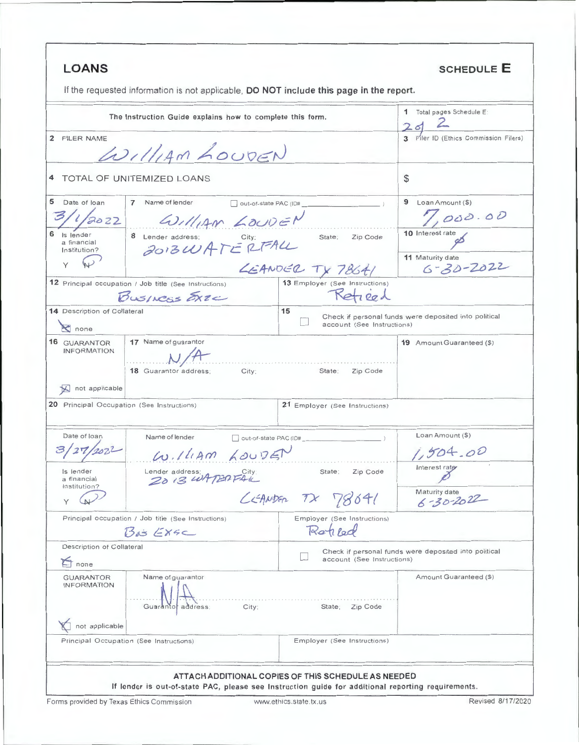| <b>LOANS</b><br>If the requested information is not applicable, DO NOT include this page in the report. |                                                     | <b>SCHEDULE E</b>                                     |
|---------------------------------------------------------------------------------------------------------|-----------------------------------------------------|-------------------------------------------------------|
|                                                                                                         |                                                     |                                                       |
| The Instruction Guide explains how to complete this form.                                               |                                                     | 1 Total pages Schedule E:<br>2d                       |
| 2 FILER NAME<br>WILLIAM LOUDEN                                                                          |                                                     | Filer ID (Ethics Commission Filers)                   |
| TOTAL OF UNITEMIZED LOANS<br>4                                                                          |                                                     | \$                                                    |
| 5<br>Date of loan<br>$\overline{7}$<br>Name of lender<br>1/2022<br>William LOUDEN                       | out-of-state PAC (ID#                               | 9 Loan Amount (\$)<br>,000.00                         |
| 6<br>is lender<br>8 Lender address;<br>2013 WATERFALL<br>a financial<br>Institution?                    | State;<br>Zip Code                                  | 10 Interest rate                                      |
|                                                                                                         | LEANDER TX 78641                                    | 11 Maturity date<br>$6 - 30 - 2022$                   |
| 12 Principal occupation / Job title (See Instructions)<br>BUSINESS STEE                                 | 13 Employer (See Instructions)<br>Retired           |                                                       |
| 14 Description of Collateral<br>$\mathbf{\times}$ none                                                  | 15<br>account (See Instructions)                    | Check if personal funds were deposited into political |
| 17 Name of guarantor<br>16 GUARANTOR<br><b>INFORMATION</b><br>18 Guarantor address;<br>not applicable   | Zip Code<br>City:<br>State;                         | <b>19</b> Amount Guaranteed (\$)                      |
| 20 Principal Occupation (See Instructions)                                                              | 21 Employer (See Instructions)                      |                                                       |
| Date of loan<br>Name of lender<br>William LouDET                                                        | out-of-state PAC (ID#                               | Loan Amount (\$)<br>1,504.00                          |
| Is lender<br>Lender address;<br>2013 WATERFALL<br>a financial<br>Institution?                           | State;<br>Zip Code                                  | Interest rate                                         |
|                                                                                                         | CEANDER TX 78641                                    | Maturity date<br>$6 - 30 - 2022$                      |
| Principal occupation / Job title (See Instructions)<br>$B_{d3}$ EXSC                                    | Employer (See Instructions)<br>Ratiled              |                                                       |
| Description of Collateral<br>$\sum$ none                                                                | account (See Instructions)                          | Check if personal funds were deposited into political |
| Name of guarantor<br><b>GUARANTOR</b><br><b>INFORMATION</b><br>Guaranto<br>address:                     | Zip Code<br>State;<br>City;                         | Amount Guaranteed (\$)                                |
| not applicable<br>Principal Occupation (See Instructions)                                               | Employer (See Instructions)                         |                                                       |
|                                                                                                         | ATTACH ADDITIONAL COPIES OF THIS SCHEDULE AS NEEDED |                                                       |

Forms provided by Texas Ethics Commission

J.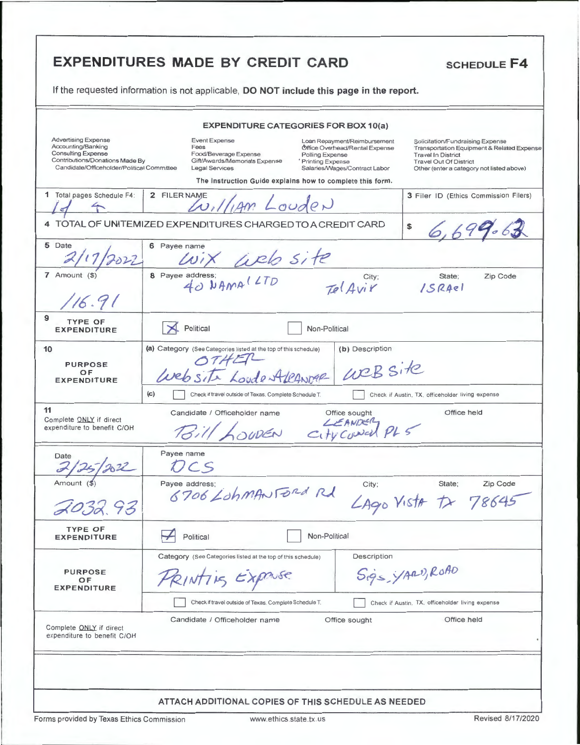|                                                                                                                                                                | <b>EXPENDITURES MADE BY CREDIT CARD</b><br><b>SCHEDULE F4</b><br>If the requested information is not applicable, DO NOT include this page in the report.                                                                                                                                                                                                                                                                                                                                                                  |
|----------------------------------------------------------------------------------------------------------------------------------------------------------------|---------------------------------------------------------------------------------------------------------------------------------------------------------------------------------------------------------------------------------------------------------------------------------------------------------------------------------------------------------------------------------------------------------------------------------------------------------------------------------------------------------------------------|
|                                                                                                                                                                |                                                                                                                                                                                                                                                                                                                                                                                                                                                                                                                           |
|                                                                                                                                                                | <b>EXPENDITURE CATEGORIES FOR BOX 10(a)</b>                                                                                                                                                                                                                                                                                                                                                                                                                                                                               |
| <b>Advertising Expense</b><br>Accounting/Banking<br><b>Consulting Expense</b><br>Contributions/Donations Made By<br>Candidate/Officeholder/Political Committee | <b>Event Expense</b><br>Loan Repayment/Reimbursement<br>Solicitation/Fundraising Expense<br>Fees<br>Office Overhead/Rental Expense<br>Transportation Equipment & Related Expense<br>Food/Beverage Expense<br>Polling Expense<br><b>Travel In District</b><br>Gift/Awards/Memorials Expense<br><sup>4</sup> Printing Expense<br><b>Travel Out Of District</b><br>Legal Services<br>Salaries/Wages/Contract Labor<br>Other (enter a category not listed above)<br>The Instruction Guide explains how to complete this form. |
| 1 Total pages Schedule F4:                                                                                                                                     | 2 FILER NAME<br>3 Filer ID (Ethics Commission Filers)<br>William Louden                                                                                                                                                                                                                                                                                                                                                                                                                                                   |
|                                                                                                                                                                | 4 TOTAL OF UNITEMIZED EXPENDITURES CHARGED TO A CREDIT CARD<br>\$<br>6.699.61                                                                                                                                                                                                                                                                                                                                                                                                                                             |
| 5 Date                                                                                                                                                         | 6 Payee name<br>ix web site                                                                                                                                                                                                                                                                                                                                                                                                                                                                                               |
| $7$ Amount $($)$<br>16.91                                                                                                                                      | 8 Payee address;<br>Zip Code<br>State;<br>City;<br>40 NAMALLTD<br>Tel Avir<br>15RAel                                                                                                                                                                                                                                                                                                                                                                                                                                      |
| 9<br><b>TYPE OF</b><br><b>EXPENDITURE</b>                                                                                                                      | Political<br>Non-Political                                                                                                                                                                                                                                                                                                                                                                                                                                                                                                |
| 10<br><b>PURPOSE</b><br>OF<br><b>EXPENDITURE</b>                                                                                                               | (a) Category (See Categories listed at the top of this schedule)<br>(b) Description<br>Website<br>Website Loude AleANDAR<br>(c)                                                                                                                                                                                                                                                                                                                                                                                           |
| 11<br>Complete ONLY if direct<br>expenditure to benefit C/OH                                                                                                   | Check if travel outside of Texas. Complete Schedule T.<br>Check if Austin, TX, officeholder living expense<br>Candidate / Officeholder name<br>Office held<br>Office sought<br>Bill LOUDEN City Council PLS                                                                                                                                                                                                                                                                                                               |
| Date<br>$\overline{\phantom{a}}$<br>2022                                                                                                                       | Payee name<br>CS                                                                                                                                                                                                                                                                                                                                                                                                                                                                                                          |
| Amount (\$<br>2032.93                                                                                                                                          | Payee address;<br>City;<br>State;<br>Zip Code<br>6706 Lohman Ford Rd<br>$L$ Ago Vista $t$ 78645                                                                                                                                                                                                                                                                                                                                                                                                                           |
| <b>TYPE OF</b><br><b>EXPENDITURE</b>                                                                                                                           | Non-Political<br>Political                                                                                                                                                                                                                                                                                                                                                                                                                                                                                                |
| <b>PURPOSE</b><br>OF.<br><b>EXPENDITURE</b>                                                                                                                    | Description<br>Category (See Categories listed at the top of this schedule)<br>Sigs YARD, ROAD<br>PRINTICS EXPONSE<br>Check if travel outside of Texas. Complete Schedule T.<br>Check if Austin, TX, officeholder living expense                                                                                                                                                                                                                                                                                          |
| Complete ONLY if direct<br>expenditure to benefit C/OH                                                                                                         | Office held<br>Candidate / Officeholder name<br>Office sought                                                                                                                                                                                                                                                                                                                                                                                                                                                             |
|                                                                                                                                                                | ATTACH ADDITIONAL COPIES OF THIS SCHEDULE AS NEEDED                                                                                                                                                                                                                                                                                                                                                                                                                                                                       |
| Forms provided by Texas Ethics Commission                                                                                                                      | Revised 8/17/2020<br>www.ethics.state.tx.us                                                                                                                                                                                                                                                                                                                                                                                                                                                                               |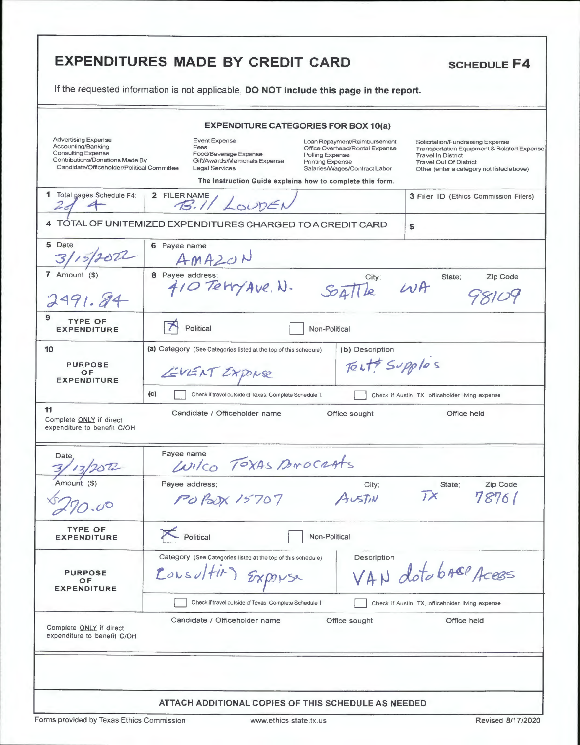|                                                                                                                                                                | <b>EXPENDITURES MADE BY CREDIT CARD</b><br><b>SCHEDULE F4</b>                                                                                                                                                                                                                                                                                                                                                                                                                                                              |          |
|----------------------------------------------------------------------------------------------------------------------------------------------------------------|----------------------------------------------------------------------------------------------------------------------------------------------------------------------------------------------------------------------------------------------------------------------------------------------------------------------------------------------------------------------------------------------------------------------------------------------------------------------------------------------------------------------------|----------|
|                                                                                                                                                                | If the requested information is not applicable, DO NOT include this page in the report.                                                                                                                                                                                                                                                                                                                                                                                                                                    |          |
|                                                                                                                                                                | <b>EXPENDITURE CATEGORIES FOR BOX 10(a)</b>                                                                                                                                                                                                                                                                                                                                                                                                                                                                                |          |
| <b>Advertising Expense</b><br>Accounting/Banking<br><b>Consulting Expense</b><br>Contributions/Donations Made By<br>Candidate/Officeholder/Political Committee | <b>Event Expense</b><br>Loan Repayment/Reimbursement<br>Solicitation/Fundraising Expense<br>Fees<br>Office Overhead/Rental Expense<br>Transportation Equipment & Related Expense<br>Food/Beverage Expense<br>Polling Expense<br><b>Travel In District</b><br>Gift/Awards/Memorials Expense<br><b>Printing Expense</b><br><b>Travel Out Of District</b><br><b>Legal Services</b><br>Salaries/Wages/Contract Labor<br>Other (enter a category not listed above)<br>The Instruction Guide explains how to complete this form. |          |
| 1 Total gages Schedule F4:<br>$2 - 7$                                                                                                                          | 2 FILER NAME<br>3 Filer ID (Ethics Commission Filers)<br>B.II LOUDEN                                                                                                                                                                                                                                                                                                                                                                                                                                                       |          |
|                                                                                                                                                                | 4 TOTAL OF UNITEMIZED EXPENDITURES CHARGED TO A CREDIT CARD<br>\$                                                                                                                                                                                                                                                                                                                                                                                                                                                          |          |
| 5 Date                                                                                                                                                         | 6 Payee name<br>AMAZON                                                                                                                                                                                                                                                                                                                                                                                                                                                                                                     |          |
| 7 Amount $($)$<br>2491.84                                                                                                                                      | 8 Payee address:<br>State;<br>City;<br>$W$ A<br>410 Tetry Ave. N.<br>Seattle                                                                                                                                                                                                                                                                                                                                                                                                                                               | Zip Code |
| 9<br><b>TYPE OF</b><br><b>EXPENDITURE</b>                                                                                                                      | Political<br>Non-Political                                                                                                                                                                                                                                                                                                                                                                                                                                                                                                 |          |
| 10<br><b>PURPOSE</b><br>OF<br><b>EXPENDITURE</b>                                                                                                               | (a) Category (See Categories listed at the top of this schedule)<br>(b) Description<br>Tente Supplas<br>EVENT EXPORSE<br>(c)<br>Check if travel outside of Texas. Complete Schedule T.<br>Check if Austin, TX, officeholder living expense                                                                                                                                                                                                                                                                                 |          |
| 11<br>Complete ONLY if direct<br>expenditure to benefit C/OH                                                                                                   | Candidate / Officeholder name<br>Office sought<br>Office held                                                                                                                                                                                                                                                                                                                                                                                                                                                              |          |
| Date<br>$\Delta$                                                                                                                                               | Payee name<br>Wilco TOXAS BANOCRATS                                                                                                                                                                                                                                                                                                                                                                                                                                                                                        |          |
| Amount (\$)                                                                                                                                                    | Payee address;<br>State:<br>City;<br>$J \times$<br>78761<br>PO POX 15707<br>AUSTIN                                                                                                                                                                                                                                                                                                                                                                                                                                         | Zip Code |
| <b>TYPE OF</b><br><b>EXPENDITURE</b>                                                                                                                           | Political<br>Non-Political                                                                                                                                                                                                                                                                                                                                                                                                                                                                                                 |          |
| <b>PURPOSE</b><br>OF.<br><b>EXPENDITURE</b>                                                                                                                    | Description<br>Category (See Categories listed at the top of this schedule)<br>VAN dotabree Acess<br>Cousultiv<br>EXPOL                                                                                                                                                                                                                                                                                                                                                                                                    |          |
| Complete ONLY if direct<br>expenditure to benefit C/OH                                                                                                         | Check if travel outside of Texas. Complete Schedule T.<br>Check if Austin, TX, officeholder living expense<br>Candidate / Officeholder name<br>Office held<br>Office sought                                                                                                                                                                                                                                                                                                                                                |          |
|                                                                                                                                                                |                                                                                                                                                                                                                                                                                                                                                                                                                                                                                                                            |          |
|                                                                                                                                                                | ATTACH ADDITIONAL COPIES OF THIS SCHEDULE AS NEEDED                                                                                                                                                                                                                                                                                                                                                                                                                                                                        |          |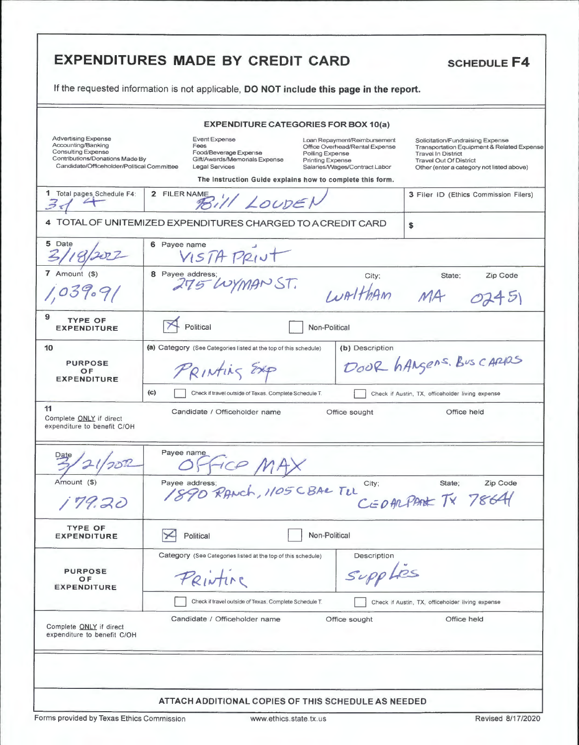| <b>EXPENDITURES MADE BY CREDIT CARD</b><br><b>SCHEDULE F4</b><br>If the requested information is not applicable, DO NOT include this page in the report.       |                                                                                                                                                                                                                                                                                                                                                                                                                                                                                                              |  |  |
|----------------------------------------------------------------------------------------------------------------------------------------------------------------|--------------------------------------------------------------------------------------------------------------------------------------------------------------------------------------------------------------------------------------------------------------------------------------------------------------------------------------------------------------------------------------------------------------------------------------------------------------------------------------------------------------|--|--|
|                                                                                                                                                                |                                                                                                                                                                                                                                                                                                                                                                                                                                                                                                              |  |  |
|                                                                                                                                                                | <b>EXPENDITURE CATEGORIES FOR BOX 10(a)</b>                                                                                                                                                                                                                                                                                                                                                                                                                                                                  |  |  |
| <b>Advertising Expense</b><br>Accounting/Banking<br><b>Consulting Expense</b><br>Contributions/Donations Made By<br>Candidate/Officeholder/Political Committee | Event Expense<br>Loan Repayment/Reimbursement<br>Solicitation/Fundraising Expense<br>Fees<br>Office Overhead/Rental Expense<br>Transportation Equipment & Related Expense<br>Food/Beverage Expense<br>Polling Expense<br><b>Travel In District</b><br>Gift/Awards/Memorials Expense<br><b>Printing Expense</b><br><b>Travel Out Of District</b><br>Legal Services<br>Salaries/Wages/Contract Labor<br>Other (enter a category not listed above)<br>The Instruction Guide explains how to complete this form. |  |  |
| 1 Total pages Schedule F4:                                                                                                                                     | 2 FILER NAME<br>3 Filer ID (Ethics Commission Filers)<br>Bill LOUDEN                                                                                                                                                                                                                                                                                                                                                                                                                                         |  |  |
|                                                                                                                                                                | 4 TOTAL OF UNITEMIZED EXPENDITURES CHARGED TO A CREDIT CARD<br>\$                                                                                                                                                                                                                                                                                                                                                                                                                                            |  |  |
| 5 Date                                                                                                                                                         | 6 Payee name<br>VISTA PRINT                                                                                                                                                                                                                                                                                                                                                                                                                                                                                  |  |  |
| 7 Amount (\$)<br>1.039                                                                                                                                         | 8 Payee address;<br>275 WYMAN ST.<br>City;<br>State;<br>Zip Code<br>INALTHAM MA                                                                                                                                                                                                                                                                                                                                                                                                                              |  |  |
| 9<br><b>TYPE OF</b><br><b>EXPENDITURE</b>                                                                                                                      | Political<br>Non-Political                                                                                                                                                                                                                                                                                                                                                                                                                                                                                   |  |  |
| 10<br><b>PURPOSE</b><br>OF<br><b>EXPENDITURE</b>                                                                                                               | (a) Category (See Categories listed at the top of this schedule)<br>(b) Description<br>DOOR hAngens. Bus cappes<br>PRINTING EXP<br>(c)<br>Check if travel outside of Texas. Complete Schedule T.<br>Check if Austin, TX, officeholder living expense                                                                                                                                                                                                                                                         |  |  |
| 11<br>Complete ONLY if direct<br>expenditure to benefit C/OH                                                                                                   | Candidate / Officeholder name<br>Office held<br>Office sought                                                                                                                                                                                                                                                                                                                                                                                                                                                |  |  |
| Date                                                                                                                                                           | Payee name                                                                                                                                                                                                                                                                                                                                                                                                                                                                                                   |  |  |
| Amount (\$)<br>179.20                                                                                                                                          | Zip Code<br>Payee address;<br>ee address;<br>SPO RANCH, 1105 CBAR TUL<br>City;<br>State;<br>CEDARPARK TX 78641                                                                                                                                                                                                                                                                                                                                                                                               |  |  |
| <b>TYPE OF</b><br><b>EXPENDITURE</b>                                                                                                                           | Non-Political<br>Political                                                                                                                                                                                                                                                                                                                                                                                                                                                                                   |  |  |
| <b>PURPOSE</b><br>O F<br><b>EXPENDITURE</b>                                                                                                                    | Category (See Categories listed at the top of this schedule)<br>Description<br>Supplies<br>Printine<br>Check if travel outside of Texas. Complete Schedule T.<br>Check if Austin, TX, officeholder living expense                                                                                                                                                                                                                                                                                            |  |  |
| Complete ONLY if direct<br>expenditure to benefit C/OH                                                                                                         | Candidate / Officeholder name<br>Office held<br>Office sought                                                                                                                                                                                                                                                                                                                                                                                                                                                |  |  |
|                                                                                                                                                                |                                                                                                                                                                                                                                                                                                                                                                                                                                                                                                              |  |  |
|                                                                                                                                                                | ATTACH ADDITIONAL COPIES OF THIS SCHEDULE AS NEEDED                                                                                                                                                                                                                                                                                                                                                                                                                                                          |  |  |

Forms provided by Texas Ethics Commission www.ethics.state.tx.us Revised 8/17/2020